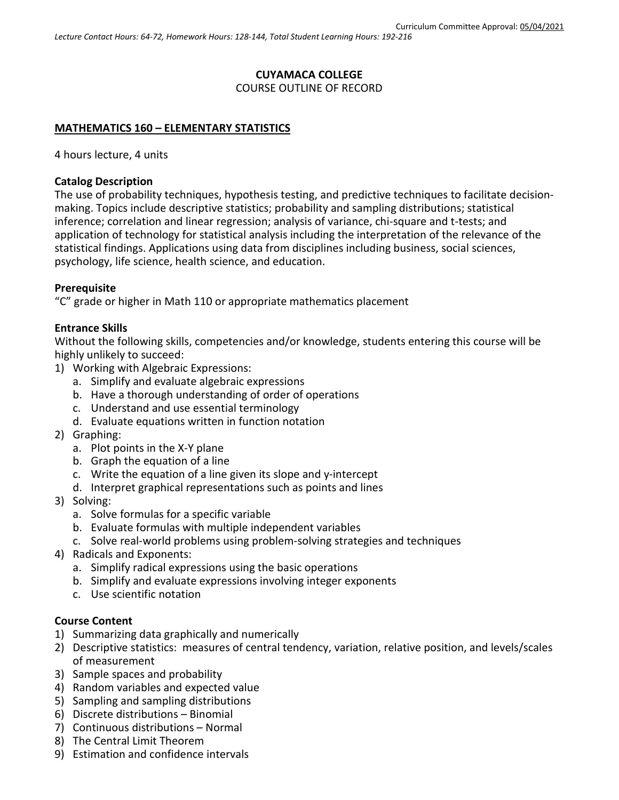# **CUYAMACA COLLEGE** COURSE OUTLINE OF RECORD

## **MATHEMATICS 160 – ELEMENTARY STATISTICS**

4 hours lecture, 4 units

### **Catalog Description**

The use of probability techniques, hypothesis testing, and predictive techniques to facilitate decisionmaking. Topics include descriptive statistics; probability and sampling distributions; statistical inference; correlation and linear regression; analysis of variance, chi-square and t-tests; and application of technology for statistical analysis including the interpretation of the relevance of the statistical findings. Applications using data from disciplines including business, social sciences, psychology, life science, health science, and education.

### **Prerequisite**

"C" grade or higher in Math 110 or appropriate mathematics placement

## **Entrance Skills**

Without the following skills, competencies and/or knowledge, students entering this course will be highly unlikely to succeed:

- 1) Working with Algebraic Expressions:
	- a. Simplify and evaluate algebraic expressions
	- b. Have a thorough understanding of order of operations
	- c. Understand and use essential terminology
	- d. Evaluate equations written in function notation
- 2) Graphing:
	- a. Plot points in the X-Y plane
	- b. Graph the equation of a line
	- c. Write the equation of a line given its slope and y-intercept
	- d. Interpret graphical representations such as points and lines
- 3) Solving:
	- a. Solve formulas for a specific variable
	- b. Evaluate formulas with multiple independent variables
	- c. Solve real-world problems using problem-solving strategies and techniques
- 4) Radicals and Exponents:
	- a. Simplify radical expressions using the basic operations
	- b. Simplify and evaluate expressions involving integer exponents
	- c. Use scientific notation

### **Course Content**

- 1) Summarizing data graphically and numerically
- 2) Descriptive statistics: measures of central tendency, variation, relative position, and levels/scales of measurement
- 3) Sample spaces and probability
- 4) Random variables and expected value
- 5) Sampling and sampling distributions
- 6) Discrete distributions Binomial
- 7) Continuous distributions Normal
- 8) The Central Limit Theorem
- 9) Estimation and confidence intervals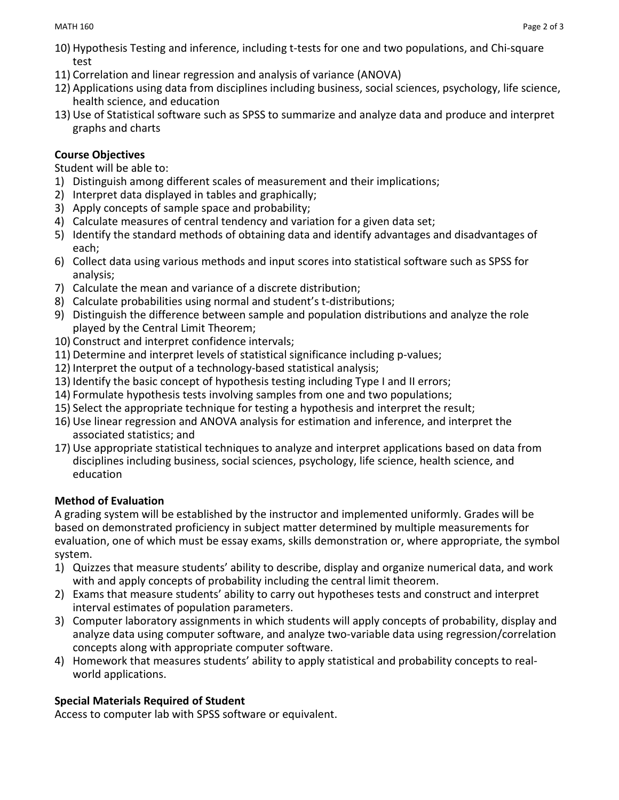- 10) Hypothesis Testing and inference, including t-tests for one and two populations, and Chi-square test
- 11) Correlation and linear regression and analysis of variance (ANOVA)
- 12) Applications using data from disciplines including business, social sciences, psychology, life science, health science, and education
- 13) Use of Statistical software such as SPSS to summarize and analyze data and produce and interpret graphs and charts

# **Course Objectives**

Student will be able to:

- 1) Distinguish among different scales of measurement and their implications;
- 2) Interpret data displayed in tables and graphically;
- 3) Apply concepts of sample space and probability;
- 4) Calculate measures of central tendency and variation for a given data set;
- 5) Identify the standard methods of obtaining data and identify advantages and disadvantages of each;
- 6) Collect data using various methods and input scores into statistical software such as SPSS for analysis;
- 7) Calculate the mean and variance of a discrete distribution;
- 8) Calculate probabilities using normal and student's t-distributions;
- 9) Distinguish the difference between sample and population distributions and analyze the role played by the Central Limit Theorem;
- 10) Construct and interpret confidence intervals;
- 11) Determine and interpret levels of statistical significance including p-values;
- 12) Interpret the output of a technology-based statistical analysis;
- 13) Identify the basic concept of hypothesis testing including Type I and II errors;
- 14) Formulate hypothesis tests involving samples from one and two populations;
- 15) Select the appropriate technique for testing a hypothesis and interpret the result;
- 16) Use linear regression and ANOVA analysis for estimation and inference, and interpret the associated statistics; and
- 17) Use appropriate statistical techniques to analyze and interpret applications based on data from disciplines including business, social sciences, psychology, life science, health science, and education

## **Method of Evaluation**

A grading system will be established by the instructor and implemented uniformly. Grades will be based on demonstrated proficiency in subject matter determined by multiple measurements for evaluation, one of which must be essay exams, skills demonstration or, where appropriate, the symbol system.

- 1) Quizzes that measure students' ability to describe, display and organize numerical data, and work with and apply concepts of probability including the central limit theorem.
- 2) Exams that measure students' ability to carry out hypotheses tests and construct and interpret interval estimates of population parameters.
- 3) Computer laboratory assignments in which students will apply concepts of probability, display and analyze data using computer software, and analyze two-variable data using regression/correlation concepts along with appropriate computer software.
- 4) Homework that measures students' ability to apply statistical and probability concepts to realworld applications.

# **Special Materials Required of Student**

Access to computer lab with SPSS software or equivalent.